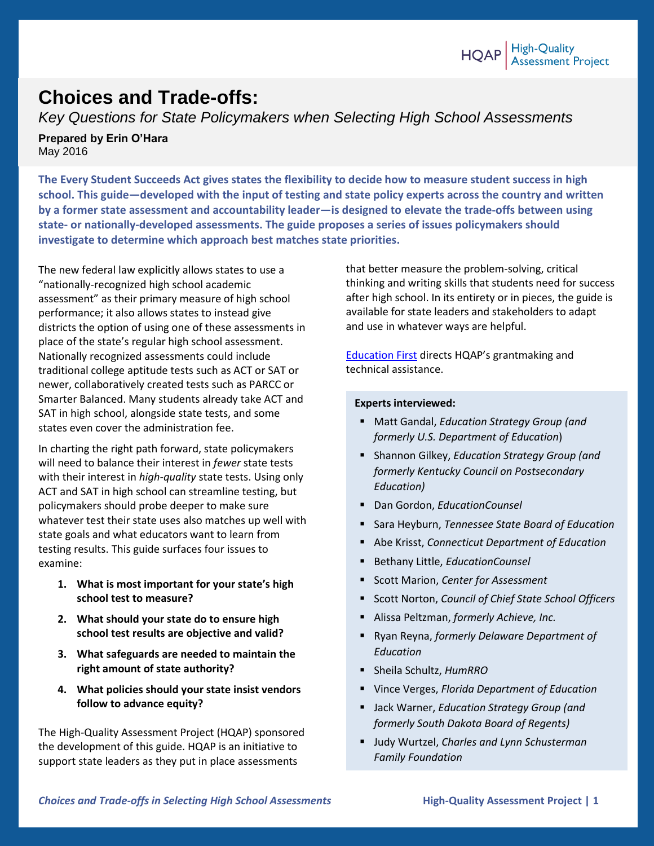## **Choices and Trade-offs:**

*Key Questions for State Policymakers when Selecting High School Assessments*

**Prepared by Erin O'Hara** May 2016

**The Every Student Succeeds Act gives states the flexibility to decide how to measure student success in high school. This guide—developed with the input of testing and state policy experts across the country and written by a former state assessment and accountability leader—is designed to elevate the trade-offs between using state- or nationally-developed assessments. The guide proposes a series of issues policymakers should investigate to determine which approach best matches state priorities.**

The new federal law explicitly allows states to use a "nationally-recognized high school academic assessment" as their primary measure of high school performance; it also allows states to instead give districts the option of using one of these assessments in place of the state's regular high school assessment. Nationally recognized assessments could include traditional college aptitude tests such as ACT or SAT or newer, collaboratively created tests such as PARCC or Smarter Balanced. Many students already take ACT and SAT in high school, alongside state tests, and some states even cover the administration fee.

In charting the right path forward, state policymakers will need to balance their interest in *fewer* state tests with their interest in *high-quality* state tests. Using only ACT and SAT in high school can streamline testing, but policymakers should probe deeper to make sure whatever test their state uses also matches up well with state goals and what educators want to learn from testing results. This guide surfaces four issues to examine:

- **1. What is most important for your state's high school test to measure?**
- **2. What should your state do to ensure high school test results are objective and valid?**
- **3. What safeguards are needed to maintain the right amount of state authority?**
- **4. What policies should your state insist vendors follow to advance equity?**

The High-Quality Assessment Project (HQAP) sponsored the development of this guide. HQAP is an initiative to support state leaders as they put in place assessments

that better measure the problem-solving, critical thinking and writing skills that students need for success after high school. In its entirety or in pieces, the guide is available for state leaders and stakeholders to adapt and use in whatever ways are helpful.

[Education First](http://education-first.com/impact/featured-story/high-quality-assessment-project/) directs HQAP's grantmaking and technical assistance.

#### **Experts interviewed:**

- Matt Gandal, *Education Strategy Group (and formerly U.S. Department of Education*)
- Shannon Gilkey, *Education Strategy Group (and formerly Kentucky Council on Postsecondary Education)*
- Dan Gordon, *EducationCounsel*
- Sara Heyburn, *Tennessee State Board of Education*
- Abe Krisst, *Connecticut Department of Education*
- Bethany Little, *EducationCounsel*
- Scott Marion, *Center for Assessment*
- Scott Norton, *Council of Chief State School Officers*
- Alissa Peltzman, *formerly Achieve, Inc.*
- Ryan Reyna, *formerly Delaware Department of Education*
- Sheila Schultz, *HumRRO*
- Vince Verges, *Florida Department of Education*
- Jack Warner, *Education Strategy Group (and formerly South Dakota Board of Regents)*
- Judy Wurtzel, *Charles and Lynn Schusterman Family Foundation*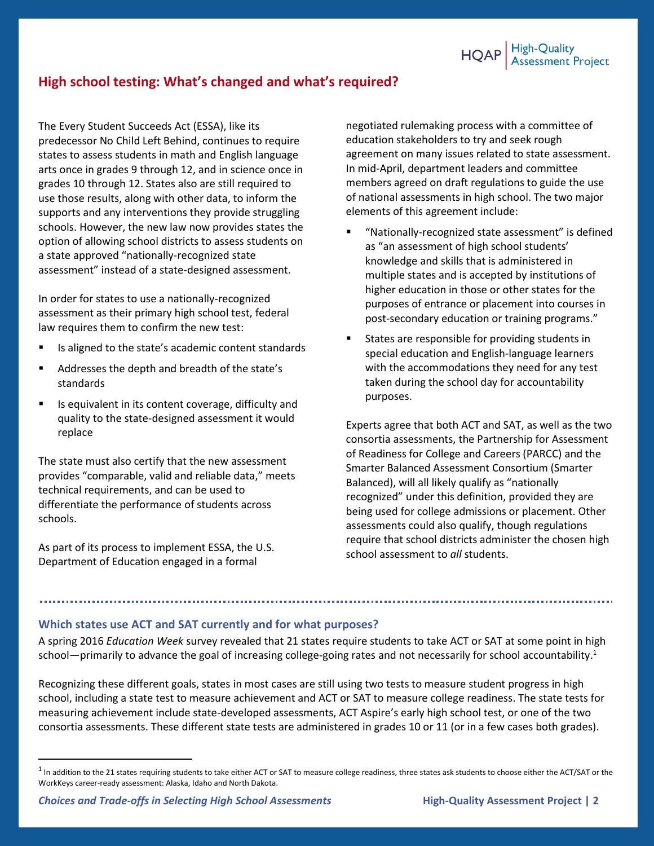

## **High school testing: What's changed and what's required?**

The Every Student Succeeds Act (ESSA), like its predecessor No Child Left Behind, continues to require states to assess students in math and English language arts once in grades 9 through 12, and in science once in grades 10 through 12. States also are still required to use those results, along with other data, to inform the supports and any interventions they provide struggling schools. However, the new law now provides states the option of allowing school districts to assess students on a state approved "nationally-recognized state assessment" instead of a state-designed assessment.

In order for states to use a nationally-recognized assessment as their primary high school test, federal law requires them to confirm the new test:

- Is aligned to the state's academic content standards
- Addresses the depth and breadth of the state's standards
- Is equivalent in its content coverage, difficulty and quality to the state-designed assessment it would replace

The state must also certify that the new assessment provides "comparable, valid and reliable data," meets technical requirements, and can be used to differentiate the performance of students across schools.

As part of its process to implement ESSA, the U.S. Department of Education engaged in a formal

negotiated rulemaking process with a committee of education stakeholders to try and seek rough agreement on many issues related to state assessment. In mid-April, department leaders and committee members agreed on draft regulations to guide the use of national assessments in high school. The two major elements of this agreement include:

- "Nationally-recognized state assessment" is defined as "an assessment of high school students' knowledge and skills that is administered in multiple states and is accepted by institutions of higher education in those or other states for the purposes of entrance or placement into courses in post-secondary education or training programs."
- States are responsible for providing students in special education and English-language learners with the accommodations they need for any test taken during the school day for accountability purposes.

Experts agree that both ACT and SAT, as well as the two consortia assessments, the Partnership for Assessment of Readiness for College and Careers (PARCC) and the Smarter Balanced Assessment Consortium (Smarter Balanced), will all likely qualify as "nationally recognized" under this definition, provided they are being used for college admissions or placement. Other assessments could also qualify, though regulations require that school districts administer the chosen high school assessment to *all* students.

#### **Which states use ACT and SAT currently and for what purposes?**

A spring 2016 *Education Week* survey revealed that 21 states require students to take ACT or SAT at some point in high school—primarily to advance the goal of increasing college-going rates and not necessarily for school accountability.<sup>1</sup>

Recognizing these different goals, states in most cases are still using two tests to measure student progress in high school, including a state test to measure achievement and ACT or SAT to measure college readiness. The state tests for measuring achievement include state-developed assessments, ACT Aspire's early high school test, or one of the two consortia assessments. These different state tests are administered in grades 10 or 11 (or in a few cases both grades).

 $\overline{\phantom{a}}$ 

 $^1$  In addition to the 21 states requiring students to take either ACT or SAT to measure college readiness, three states ask students to choose either the ACT/SAT or the WorkKeys career-ready assessment: Alaska, Idaho and North Dakota.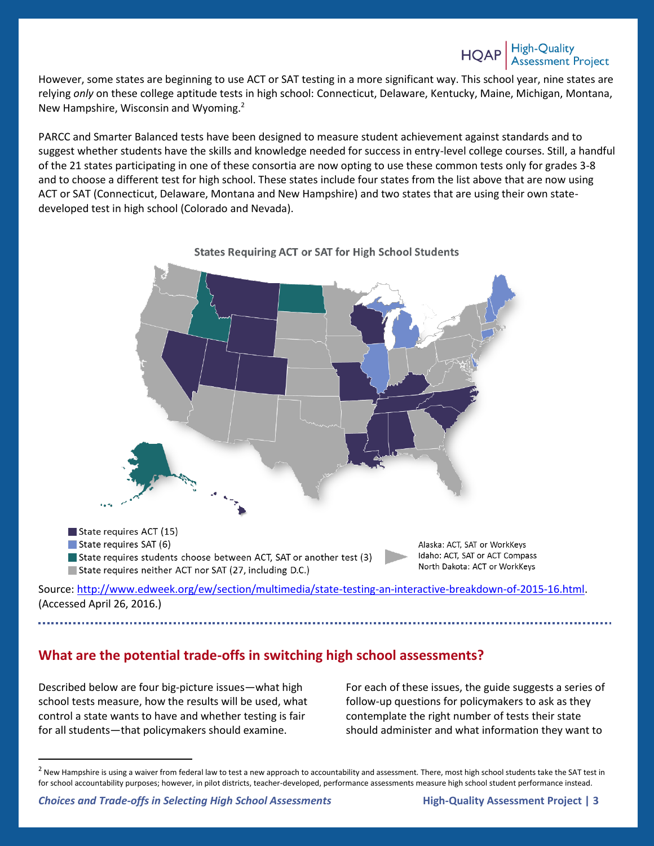However, some states are beginning to use ACT or SAT testing in a more significant way. This school year, nine states are relying *only* on these college aptitude tests in high school: Connecticut, Delaware, Kentucky, Maine, Michigan, Montana, New Hampshire, Wisconsin and Wyoming.<sup>2</sup>

PARCC and Smarter Balanced tests have been designed to measure student achievement against standards and to suggest whether students have the skills and knowledge needed for success in entry-level college courses. Still, a handful of the 21 states participating in one of these consortia are now opting to use these common tests only for grades 3-8 and to choose a different test for high school. These states include four states from the list above that are now using ACT or SAT (Connecticut, Delaware, Montana and New Hampshire) and two states that are using their own statedeveloped test in high school (Colorado and Nevada).



**What are the potential trade-offs in switching high school assessments?**

For each of these issues, the guide suggests a series of follow-up questions for policymakers to ask as they contemplate the right number of tests their state should administer and what information they want to

Described below are four big-picture issues—what high school tests measure, how the results will be used, what control a state wants to have and whether testing is fair for all students—that policymakers should examine.

 $\overline{\phantom{a}}$ 

 $<sup>2</sup>$  New Hampshire is using a waiver from federal law to test a new approach to accountability and assessment. There, most high school students take the SAT test in</sup> for school accountability purposes; however, in pilot districts, teacher-developed, performance assessments measure high school student performance instead.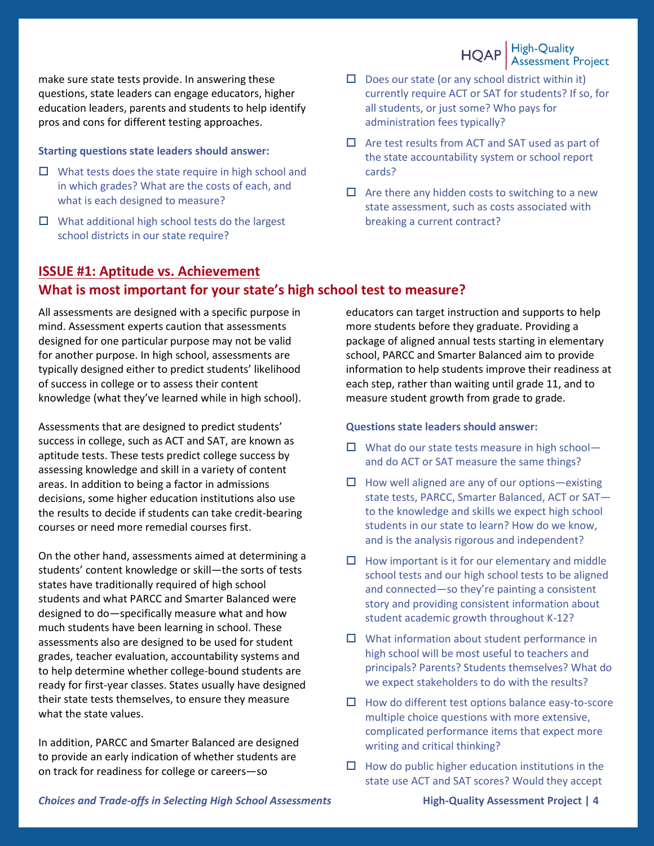HQAP High-Quality<br>Assessment Project

make sure state tests provide. In answering these questions, state leaders can engage educators, higher education leaders, parents and students to help identify pros and cons for different testing approaches.

#### **Starting questions state leaders should answer:**

- $\Box$  What tests does the state require in high school and in which grades? What are the costs of each, and what is each designed to measure?
- $\Box$  What additional high school tests do the largest school districts in our state require?
- $\square$  Does our state (or any school district within it) currently require ACT or SAT for students? If so, for all students, or just some? Who pays for administration fees typically?
- $\Box$  Are test results from ACT and SAT used as part of the state accountability system or school report cards?
- $\Box$  Are there any hidden costs to switching to a new state assessment, such as costs associated with breaking a current contract?

## **ISSUE #1: Aptitude vs. Achievement What is most important for your state's high school test to measure?**

All assessments are designed with a specific purpose in mind. Assessment experts caution that assessments designed for one particular purpose may not be valid for another purpose. In high school, assessments are typically designed either to predict students' likelihood of success in college or to assess their content knowledge (what they've learned while in high school).

Assessments that are designed to predict students' success in college, such as ACT and SAT, are known as aptitude tests. These tests predict college success by assessing knowledge and skill in a variety of content areas. In addition to being a factor in admissions decisions, some higher education institutions also use the results to decide if students can take credit-bearing courses or need more remedial courses first.

On the other hand, assessments aimed at determining a students' content knowledge or skill—the sorts of tests states have traditionally required of high school students and what PARCC and Smarter Balanced were designed to do—specifically measure what and how much students have been learning in school. These assessments also are designed to be used for student grades, teacher evaluation, accountability systems and to help determine whether college-bound students are ready for first-year classes. States usually have designed their state tests themselves, to ensure they measure what the state values.

In addition, PARCC and Smarter Balanced are designed to provide an early indication of whether students are on track for readiness for college or careers—so

educators can target instruction and supports to help more students before they graduate. Providing a package of aligned annual tests starting in elementary school, PARCC and Smarter Balanced aim to provide information to help students improve their readiness at each step, rather than waiting until grade 11, and to measure student growth from grade to grade.

#### **Questions state leaders should answer:**

- $\Box$  What do our state tests measure in high schooland do ACT or SAT measure the same things?
- $\Box$  How well aligned are any of our options—existing state tests, PARCC, Smarter Balanced, ACT or SAT to the knowledge and skills we expect high school students in our state to learn? How do we know, and is the analysis rigorous and independent?
- $\Box$  How important is it for our elementary and middle school tests and our high school tests to be aligned and connected—so they're painting a consistent story and providing consistent information about student academic growth throughout K-12?
- $\Box$  What information about student performance in high school will be most useful to teachers and principals? Parents? Students themselves? What do we expect stakeholders to do with the results?
- $\Box$  How do different test options balance easy-to-score multiple choice questions with more extensive, complicated performance items that expect more writing and critical thinking?
- $\Box$  How do public higher education institutions in the state use ACT and SAT scores? Would they accept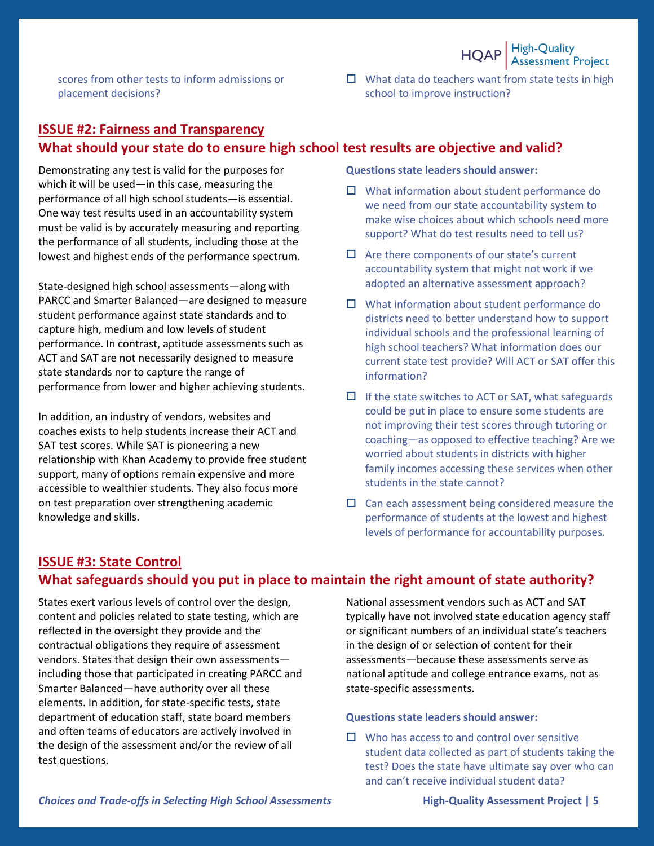

scores from other tests to inform admissions or placement decisions?

 $\Box$  What data do teachers want from state tests in high school to improve instruction?

## **ISSUE #2: Fairness and Transparency What should your state do to ensure high school test results are objective and valid?**

Demonstrating any test is valid for the purposes for which it will be used—in this case, measuring the performance of all high school students—is essential. One way test results used in an accountability system must be valid is by accurately measuring and reporting the performance of all students, including those at the lowest and highest ends of the performance spectrum.

State-designed high school assessments—along with PARCC and Smarter Balanced—are designed to measure student performance against state standards and to capture high, medium and low levels of student performance. In contrast, aptitude assessments such as ACT and SAT are not necessarily designed to measure state standards nor to capture the range of performance from lower and higher achieving students.

In addition, an industry of vendors, websites and coaches exists to help students increase their ACT and SAT test scores. While SAT is pioneering a new relationship with Khan Academy to provide free student support, many of options remain expensive and more accessible to wealthier students. They also focus more on test preparation over strengthening academic knowledge and skills.

#### **Questions state leaders should answer:**

- $\Box$  What information about student performance do we need from our state accountability system to make wise choices about which schools need more support? What do test results need to tell us?
- $\Box$  Are there components of our state's current accountability system that might not work if we adopted an alternative assessment approach?
- $\Box$  What information about student performance do districts need to better understand how to support individual schools and the professional learning of high school teachers? What information does our current state test provide? Will ACT or SAT offer this information?
- $\Box$  If the state switches to ACT or SAT, what safeguards could be put in place to ensure some students are not improving their test scores through tutoring or coaching—as opposed to effective teaching? Are we worried about students in districts with higher family incomes accessing these services when other students in the state cannot?
- $\Box$  Can each assessment being considered measure the performance of students at the lowest and highest levels of performance for accountability purposes.

### **ISSUE #3: State Control What safeguards should you put in place to maintain the right amount of state authority?**

States exert various levels of control over the design, content and policies related to state testing, which are reflected in the oversight they provide and the contractual obligations they require of assessment vendors. States that design their own assessments including those that participated in creating PARCC and Smarter Balanced—have authority over all these elements. In addition, for state-specific tests, state department of education staff, state board members and often teams of educators are actively involved in the design of the assessment and/or the review of all test questions.

National assessment vendors such as ACT and SAT typically have not involved state education agency staff or significant numbers of an individual state's teachers in the design of or selection of content for their assessments—because these assessments serve as national aptitude and college entrance exams, not as state-specific assessments.

#### **Questions state leaders should answer:**

 $\Box$  Who has access to and control over sensitive student data collected as part of students taking the test? Does the state have ultimate say over who can and can't receive individual student data?